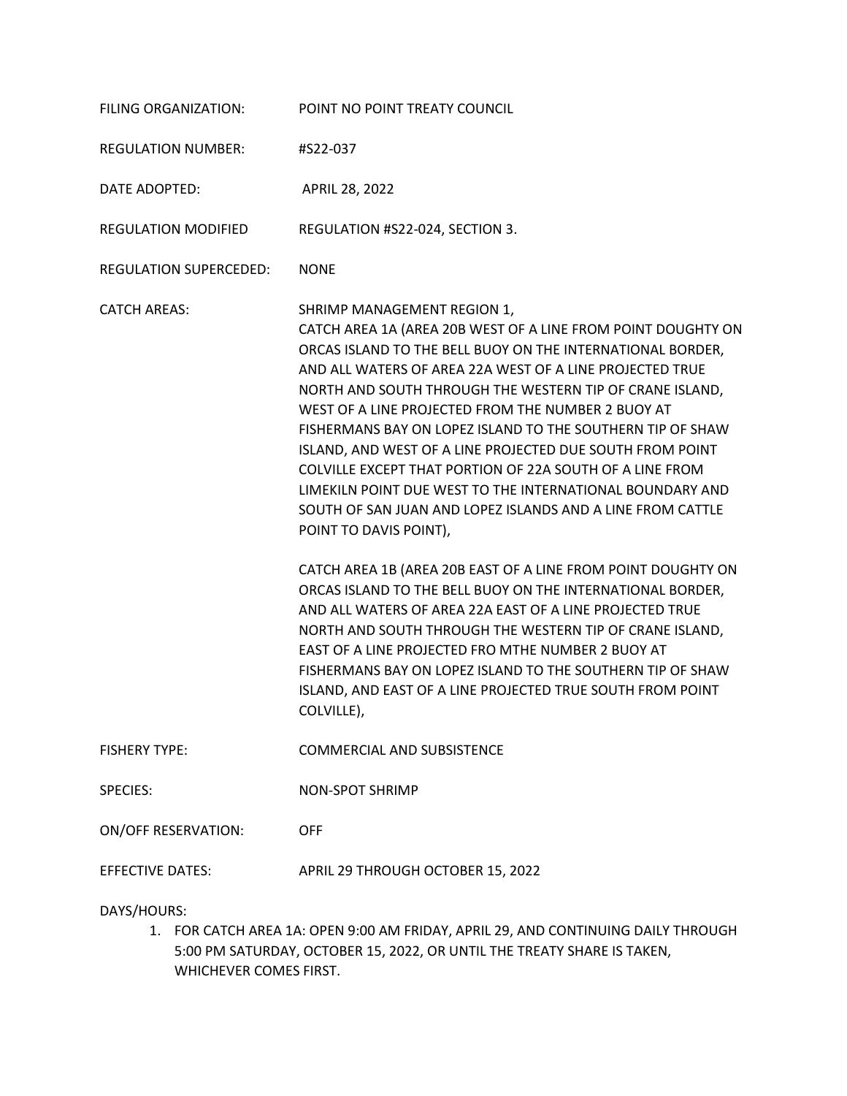| FILING ORGANIZATION:          | POINT NO POINT TREATY COUNCIL                                                                                                                                                                                                                                                                                                                                                                                                                                                                                                                                                                                                                                                                                                                                                                                                                                                                                                                                                                                                                                                                                                             |
|-------------------------------|-------------------------------------------------------------------------------------------------------------------------------------------------------------------------------------------------------------------------------------------------------------------------------------------------------------------------------------------------------------------------------------------------------------------------------------------------------------------------------------------------------------------------------------------------------------------------------------------------------------------------------------------------------------------------------------------------------------------------------------------------------------------------------------------------------------------------------------------------------------------------------------------------------------------------------------------------------------------------------------------------------------------------------------------------------------------------------------------------------------------------------------------|
| <b>REGULATION NUMBER:</b>     | #S22-037                                                                                                                                                                                                                                                                                                                                                                                                                                                                                                                                                                                                                                                                                                                                                                                                                                                                                                                                                                                                                                                                                                                                  |
| DATE ADOPTED:                 | APRIL 28, 2022                                                                                                                                                                                                                                                                                                                                                                                                                                                                                                                                                                                                                                                                                                                                                                                                                                                                                                                                                                                                                                                                                                                            |
| <b>REGULATION MODIFIED</b>    | REGULATION #S22-024, SECTION 3.                                                                                                                                                                                                                                                                                                                                                                                                                                                                                                                                                                                                                                                                                                                                                                                                                                                                                                                                                                                                                                                                                                           |
| <b>REGULATION SUPERCEDED:</b> | <b>NONE</b>                                                                                                                                                                                                                                                                                                                                                                                                                                                                                                                                                                                                                                                                                                                                                                                                                                                                                                                                                                                                                                                                                                                               |
| <b>CATCH AREAS:</b>           | SHRIMP MANAGEMENT REGION 1,<br>CATCH AREA 1A (AREA 20B WEST OF A LINE FROM POINT DOUGHTY ON<br>ORCAS ISLAND TO THE BELL BUOY ON THE INTERNATIONAL BORDER,<br>AND ALL WATERS OF AREA 22A WEST OF A LINE PROJECTED TRUE<br>NORTH AND SOUTH THROUGH THE WESTERN TIP OF CRANE ISLAND,<br>WEST OF A LINE PROJECTED FROM THE NUMBER 2 BUOY AT<br>FISHERMANS BAY ON LOPEZ ISLAND TO THE SOUTHERN TIP OF SHAW<br>ISLAND, AND WEST OF A LINE PROJECTED DUE SOUTH FROM POINT<br>COLVILLE EXCEPT THAT PORTION OF 22A SOUTH OF A LINE FROM<br>LIMEKILN POINT DUE WEST TO THE INTERNATIONAL BOUNDARY AND<br>SOUTH OF SAN JUAN AND LOPEZ ISLANDS AND A LINE FROM CATTLE<br>POINT TO DAVIS POINT),<br>CATCH AREA 1B (AREA 20B EAST OF A LINE FROM POINT DOUGHTY ON<br>ORCAS ISLAND TO THE BELL BUOY ON THE INTERNATIONAL BORDER,<br>AND ALL WATERS OF AREA 22A EAST OF A LINE PROJECTED TRUE<br>NORTH AND SOUTH THROUGH THE WESTERN TIP OF CRANE ISLAND,<br>EAST OF A LINE PROJECTED FRO MTHE NUMBER 2 BUOY AT<br>FISHERMANS BAY ON LOPEZ ISLAND TO THE SOUTHERN TIP OF SHAW<br>ISLAND, AND EAST OF A LINE PROJECTED TRUE SOUTH FROM POINT<br>COLVILLE), |
| <b>FISHERY TYPE:</b>          | <b>COMMERCIAL AND SUBSISTENCE</b>                                                                                                                                                                                                                                                                                                                                                                                                                                                                                                                                                                                                                                                                                                                                                                                                                                                                                                                                                                                                                                                                                                         |
| <b>SPECIES:</b>               | <b>NON-SPOT SHRIMP</b>                                                                                                                                                                                                                                                                                                                                                                                                                                                                                                                                                                                                                                                                                                                                                                                                                                                                                                                                                                                                                                                                                                                    |
| <b>ON/OFF RESERVATION:</b>    | <b>OFF</b>                                                                                                                                                                                                                                                                                                                                                                                                                                                                                                                                                                                                                                                                                                                                                                                                                                                                                                                                                                                                                                                                                                                                |
| <b>EFFECTIVE DATES:</b>       | APRIL 29 THROUGH OCTOBER 15, 2022                                                                                                                                                                                                                                                                                                                                                                                                                                                                                                                                                                                                                                                                                                                                                                                                                                                                                                                                                                                                                                                                                                         |

DAYS/HOURS:

1. FOR CATCH AREA 1A: OPEN 9:00 AM FRIDAY, APRIL 29, AND CONTINUING DAILY THROUGH 5:00 PM SATURDAY, OCTOBER 15, 2022, OR UNTIL THE TREATY SHARE IS TAKEN, WHICHEVER COMES FIRST.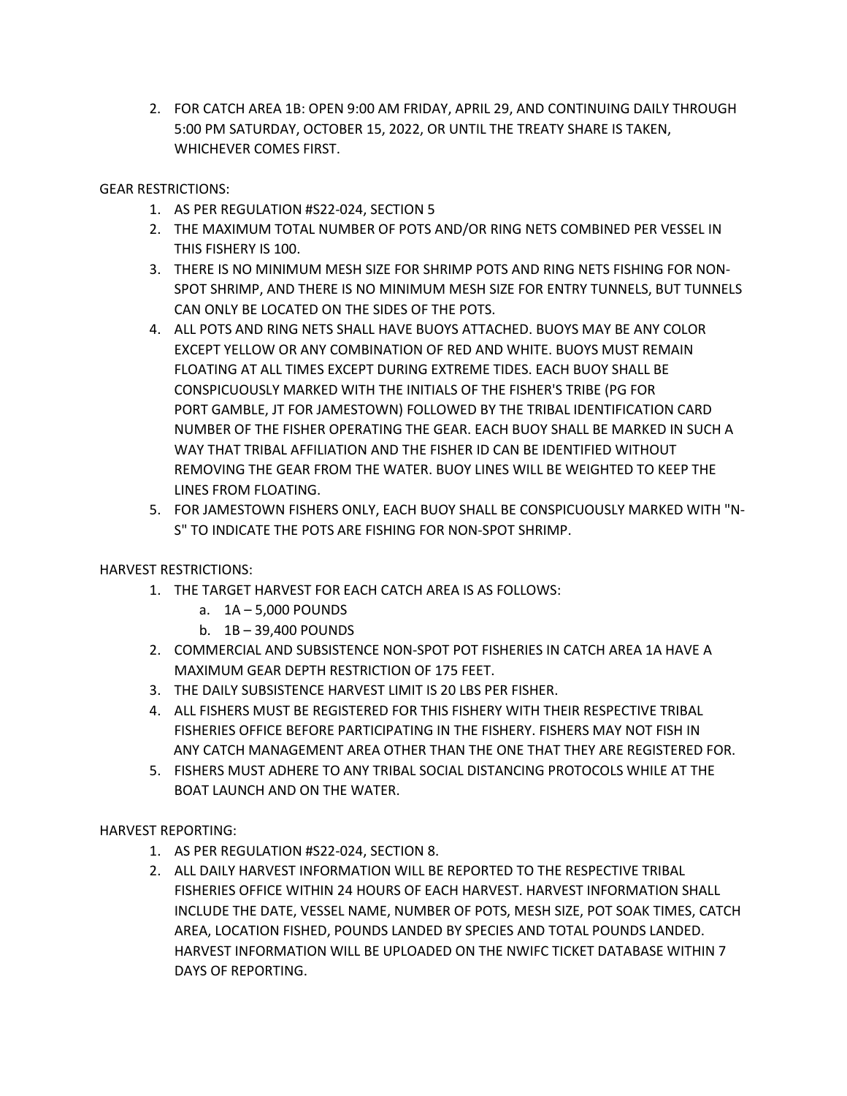2. FOR CATCH AREA 1B: OPEN 9:00 AM FRIDAY, APRIL 29, AND CONTINUING DAILY THROUGH 5:00 PM SATURDAY, OCTOBER 15, 2022, OR UNTIL THE TREATY SHARE IS TAKEN, WHICHEVER COMES FIRST.

## GEAR RESTRICTIONS:

- 1. AS PER REGULATION #S22-024, SECTION 5
- 2. THE MAXIMUM TOTAL NUMBER OF POTS AND/OR RING NETS COMBINED PER VESSEL IN THIS FISHERY IS 100.
- 3. THERE IS NO MINIMUM MESH SIZE FOR SHRIMP POTS AND RING NETS FISHING FOR NON-SPOT SHRIMP, AND THERE IS NO MINIMUM MESH SIZE FOR ENTRY TUNNELS, BUT TUNNELS CAN ONLY BE LOCATED ON THE SIDES OF THE POTS.
- 4. ALL POTS AND RING NETS SHALL HAVE BUOYS ATTACHED. BUOYS MAY BE ANY COLOR EXCEPT YELLOW OR ANY COMBINATION OF RED AND WHITE. BUOYS MUST REMAIN FLOATING AT ALL TIMES EXCEPT DURING EXTREME TIDES. EACH BUOY SHALL BE CONSPICUOUSLY MARKED WITH THE INITIALS OF THE FISHER'S TRIBE (PG FOR PORT GAMBLE, JT FOR JAMESTOWN) FOLLOWED BY THE TRIBAL IDENTIFICATION CARD NUMBER OF THE FISHER OPERATING THE GEAR. EACH BUOY SHALL BE MARKED IN SUCH A WAY THAT TRIBAL AFFILIATION AND THE FISHER ID CAN BE IDENTIFIED WITHOUT REMOVING THE GEAR FROM THE WATER. BUOY LINES WILL BE WEIGHTED TO KEEP THE LINES FROM FLOATING.
- 5. FOR JAMESTOWN FISHERS ONLY, EACH BUOY SHALL BE CONSPICUOUSLY MARKED WITH "N-S" TO INDICATE THE POTS ARE FISHING FOR NON-SPOT SHRIMP.

## HARVEST RESTRICTIONS:

- 1. THE TARGET HARVEST FOR EACH CATCH AREA IS AS FOLLOWS:
	- a. 1A 5,000 POUNDS
	- b. 1B 39,400 POUNDS
- 2. COMMERCIAL AND SUBSISTENCE NON-SPOT POT FISHERIES IN CATCH AREA 1A HAVE A MAXIMUM GEAR DEPTH RESTRICTION OF 175 FEET.
- 3. THE DAILY SUBSISTENCE HARVEST LIMIT IS 20 LBS PER FISHER.
- 4. ALL FISHERS MUST BE REGISTERED FOR THIS FISHERY WITH THEIR RESPECTIVE TRIBAL FISHERIES OFFICE BEFORE PARTICIPATING IN THE FISHERY. FISHERS MAY NOT FISH IN ANY CATCH MANAGEMENT AREA OTHER THAN THE ONE THAT THEY ARE REGISTERED FOR.
- 5. FISHERS MUST ADHERE TO ANY TRIBAL SOCIAL DISTANCING PROTOCOLS WHILE AT THE BOAT LAUNCH AND ON THE WATER.

HARVEST REPORTING:

- 1. AS PER REGULATION #S22-024, SECTION 8.
- 2. ALL DAILY HARVEST INFORMATION WILL BE REPORTED TO THE RESPECTIVE TRIBAL FISHERIES OFFICE WITHIN 24 HOURS OF EACH HARVEST. HARVEST INFORMATION SHALL INCLUDE THE DATE, VESSEL NAME, NUMBER OF POTS, MESH SIZE, POT SOAK TIMES, CATCH AREA, LOCATION FISHED, POUNDS LANDED BY SPECIES AND TOTAL POUNDS LANDED. HARVEST INFORMATION WILL BE UPLOADED ON THE NWIFC TICKET DATABASE WITHIN 7 DAYS OF REPORTING.